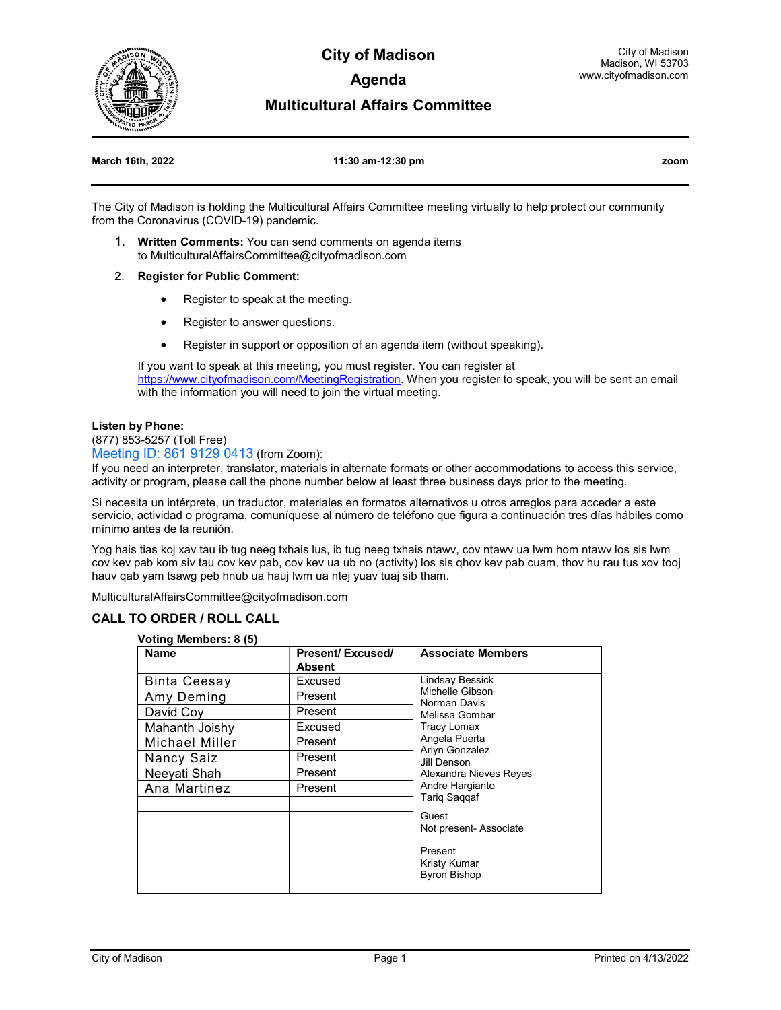

**City of Madison Agenda** 

#### **Multicultural Affairs Committee**

#### **March 16th, 2022 11:30 am-12:30 pm zoom**

The City of Madison is holding the Multicultural Affairs Committee meeting virtually to help protect our community from the Coronavirus (COVID-19) pandemic.

- 1. **Written Comments:** You can send comments on agenda items to MulticulturalAffairsCommittee@cityofmadison.com
- 2. **Register for Public Comment:**
	- Register to speak at the meeting.
	- Register to answer questions.
	- Register in support or opposition of an agenda item (without speaking).

If you want to speak at this meeting, you must register. You can register at https://www.cityofmadison.com/MeetingRegistration</u>. When you register to speak, you will be sent an email with the information you will need to join the virtual meeting.

#### **Listen by Phone:**

(877) 853-5257 (Toll Free)

Meeting ID: 861 9129 0413 (from Zoom):

If you need an interpreter, translator, materials in alternate formats or other accommodations to access this service, activity or program, please call the phone number below at least three business days prior to the meeting.

Si necesita un intérprete, un traductor, materiales en formatos alternativos u otros arreglos para acceder a este servicio, actividad o programa, comuníquese al número de teléfono que figura a continuación tres días hábiles como mínimo antes de la reunión.

Yog hais tias koj xav tau ib tug neeg txhais lus, ib tug neeg txhais ntawv, cov ntawv ua lwm hom ntawv los sis lwm cov kev pab kom siv tau cov kev pab, cov kev ua ub no (activity) los sis qhov kev pab cuam, thov hu rau tus xov tooj hauv qab yam tsawg peb hnub ua hauj lwm ua ntej yuav tuaj sib tham.

MulticulturalAffairsCommittee@cityofmadison.com

#### **CALL TO ORDER / ROLL CALL**

#### **Voting Members: 8 (5)**

| <b>Name</b>         | <b>Present/Excused/</b> | <b>Associate Members</b>                                                                                                                                                                                |
|---------------------|-------------------------|---------------------------------------------------------------------------------------------------------------------------------------------------------------------------------------------------------|
|                     | <b>Absent</b>           |                                                                                                                                                                                                         |
| <b>Binta Ceesay</b> | Excused                 | <b>Lindsay Bessick</b><br>Michelle Gibson<br>Norman Davis<br>Melissa Gombar<br><b>Tracy Lomax</b><br>Angela Puerta<br><b>Arlyn Gonzalez</b><br>Jill Denson<br>Alexandra Nieves Reyes<br>Andre Hargianto |
| Amy Deming          | Present                 |                                                                                                                                                                                                         |
| David Coy           | Present                 |                                                                                                                                                                                                         |
| Mahanth Joishy      | Excused                 |                                                                                                                                                                                                         |
| Michael Miller      | Present                 |                                                                                                                                                                                                         |
| Nancy Saiz          | Present                 |                                                                                                                                                                                                         |
| Neeyati Shah        | Present                 |                                                                                                                                                                                                         |
| Ana Martinez        | Present                 |                                                                                                                                                                                                         |
|                     |                         | Tariq Saqqaf                                                                                                                                                                                            |
|                     |                         | Guest                                                                                                                                                                                                   |
|                     |                         | Not present- Associate                                                                                                                                                                                  |
|                     |                         | Present<br>Kristy Kumar                                                                                                                                                                                 |
|                     |                         | <b>Byron Bishop</b>                                                                                                                                                                                     |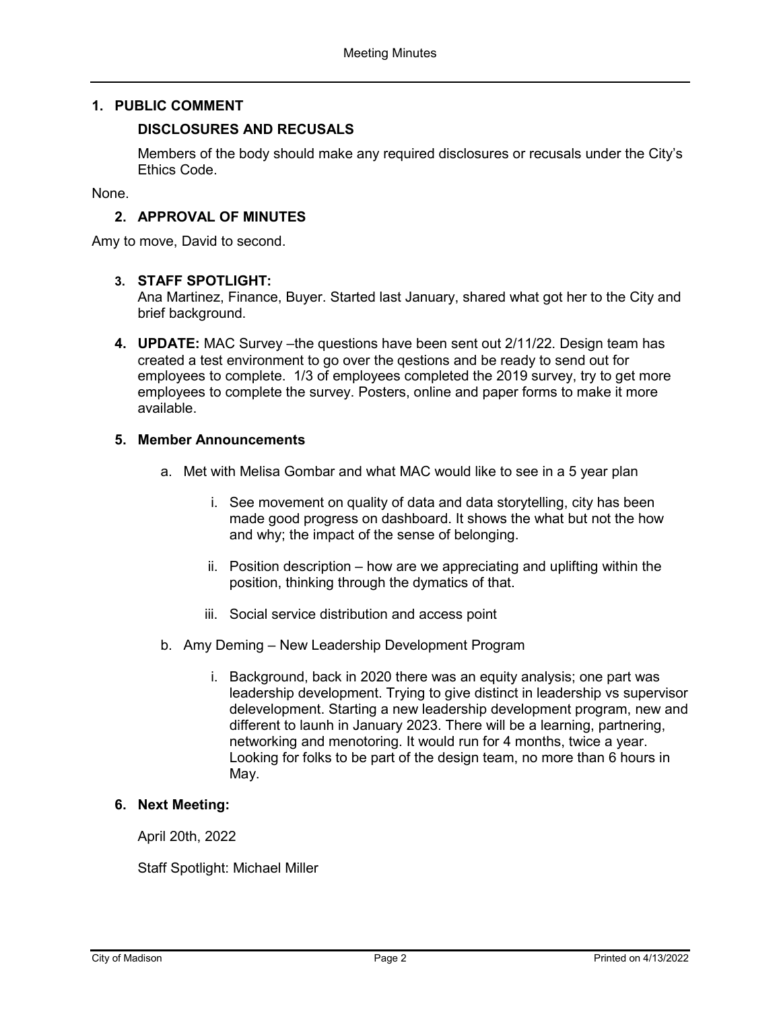## **1. PUBLIC COMMENT**

### **DISCLOSURES AND RECUSALS**

Members of the body should make any required disclosures or recusals under the City's Ethics Code.

None.

### **2. APPROVAL OF MINUTES**

Amy to move, David to second.

## **3. STAFF SPOTLIGHT:**

Ana Martinez, Finance, Buyer. Started last January, shared what got her to the City and brief background.

**4. UPDATE:** MAC Survey –the questions have been sent out 2/11/22. Design team has created a test environment to go over the qestions and be ready to send out for employees to complete. 1/3 of employees completed the 2019 survey, try to get more employees to complete the survey. Posters, online and paper forms to make it more available.

#### **5. Member Announcements**

- a. Met with Melisa Gombar and what MAC would like to see in a 5 year plan
	- i. See movement on quality of data and data storytelling, city has been made good progress on dashboard. It shows the what but not the how and why; the impact of the sense of belonging.
	- ii. Position description how are we appreciating and uplifting within the position, thinking through the dymatics of that.
	- iii. Social service distribution and access point
- b. Amy Deming New Leadership Development Program
	- i. Background, back in 2020 there was an equity analysis; one part was leadership development. Trying to give distinct in leadership vs supervisor delevelopment. Starting a new leadership development program, new and different to launh in January 2023. There will be a learning, partnering, networking and menotoring. It would run for 4 months, twice a year. Looking for folks to be part of the design team, no more than 6 hours in May.

#### **6. Next Meeting:**

April 20th, 2022

Staff Spotlight: Michael Miller